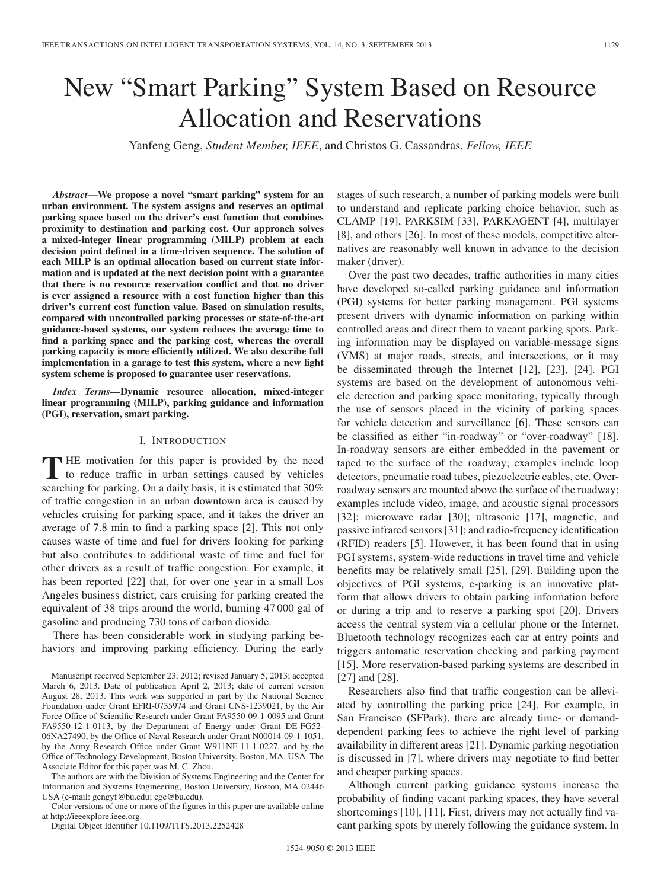# New "Smart Parking" System Based on Resource Allocation and Reservations

Yanfeng Geng, *Student Member, IEEE*, and Christos G. Cassandras, *Fellow, IEEE*

*Abstract***—We propose a novel "smart parking" system for an urban environment. The system assigns and reserves an optimal parking space based on the driver's cost function that combines proximity to destination and parking cost. Our approach solves a mixed-integer linear programming (MILP) problem at each decision point defined in a time-driven sequence. The solution of each MILP is an optimal allocation based on current state information and is updated at the next decision point with a guarantee that there is no resource reservation conflict and that no driver is ever assigned a resource with a cost function higher than this driver's current cost function value. Based on simulation results, compared with uncontrolled parking processes or state-of-the-art guidance-based systems, our system reduces the average time to find a parking space and the parking cost, whereas the overall parking capacity is more efficiently utilized. We also describe full implementation in a garage to test this system, where a new light system scheme is proposed to guarantee user reservations.**

*Index Terms***—Dynamic resource allocation, mixed-integer linear programming (MILP), parking guidance and information (PGI), reservation, smart parking.**

#### I. INTRODUCTION

THE motivation for this paper is provided by the need<br>to reduce traffic in urban settings caused by vehicles searching for parking. On a daily basis, it is estimated that 30% of traffic congestion in an urban downtown area is caused by vehicles cruising for parking space, and it takes the driver an average of 7.8 min to find a parking space [2]. This not only causes waste of time and fuel for drivers looking for parking but also contributes to additional waste of time and fuel for other drivers as a result of traffic congestion. For example, it has been reported [22] that, for over one year in a small Los Angeles business district, cars cruising for parking created the equivalent of 38 trips around the world, burning 47 000 gal of gasoline and producing 730 tons of carbon dioxide.

There has been considerable work in studying parking behaviors and improving parking efficiency. During the early

The authors are with the Division of Systems Engineering and the Center for Information and Systems Engineering, Boston University, Boston, MA 02446 USA (e-mail: gengyf@bu.edu; cgc@bu.edu).

Color versions of one or more of the figures in this paper are available online at http://ieeexplore.ieee.org.

Digital Object Identifier 10.1109/TITS.2013.2252428

stages of such research, a number of parking models were built to understand and replicate parking choice behavior, such as CLAMP [19], PARKSIM [33], PARKAGENT [4], multilayer [8], and others [26]. In most of these models, competitive alternatives are reasonably well known in advance to the decision maker (driver).

Over the past two decades, traffic authorities in many cities have developed so-called parking guidance and information (PGI) systems for better parking management. PGI systems present drivers with dynamic information on parking within controlled areas and direct them to vacant parking spots. Parking information may be displayed on variable-message signs (VMS) at major roads, streets, and intersections, or it may be disseminated through the Internet [12], [23], [24]. PGI systems are based on the development of autonomous vehicle detection and parking space monitoring, typically through the use of sensors placed in the vicinity of parking spaces for vehicle detection and surveillance [6]. These sensors can be classified as either "in-roadway" or "over-roadway" [18]. In-roadway sensors are either embedded in the pavement or taped to the surface of the roadway; examples include loop detectors, pneumatic road tubes, piezoelectric cables, etc. Overroadway sensors are mounted above the surface of the roadway; examples include video, image, and acoustic signal processors [32]; microwave radar [30]; ultrasonic [17], magnetic, and passive infrared sensors [31]; and radio-frequency identification (RFID) readers [5]. However, it has been found that in using PGI systems, system-wide reductions in travel time and vehicle benefits may be relatively small [25], [29]. Building upon the objectives of PGI systems, e-parking is an innovative platform that allows drivers to obtain parking information before or during a trip and to reserve a parking spot [20]. Drivers access the central system via a cellular phone or the Internet. Bluetooth technology recognizes each car at entry points and triggers automatic reservation checking and parking payment [15]. More reservation-based parking systems are described in [27] and [28].

Researchers also find that traffic congestion can be alleviated by controlling the parking price [24]. For example, in San Francisco (SFPark), there are already time- or demanddependent parking fees to achieve the right level of parking availability in different areas [21]. Dynamic parking negotiation is discussed in [7], where drivers may negotiate to find better and cheaper parking spaces.

Although current parking guidance systems increase the probability of finding vacant parking spaces, they have several shortcomings [10], [11]. First, drivers may not actually find vacant parking spots by merely following the guidance system. In

Manuscript received September 23, 2012; revised January 5, 2013; accepted March 6, 2013. Date of publication April 2, 2013; date of current version August 28, 2013. This work was supported in part by the National Science Foundation under Grant EFRI-0735974 and Grant CNS-1239021, by the Air Force Office of Scientific Research under Grant FA9550-09-1-0095 and Grant FA9550-12-1-0113, by the Department of Energy under Grant DE-FG52- 06NA27490, by the Office of Naval Research under Grant N00014-09-1-1051, by the Army Research Office under Grant W911NF-11-1-0227, and by the Office of Technology Development, Boston University, Boston, MA, USA. The Associate Editor for this paper was M. C. Zhou.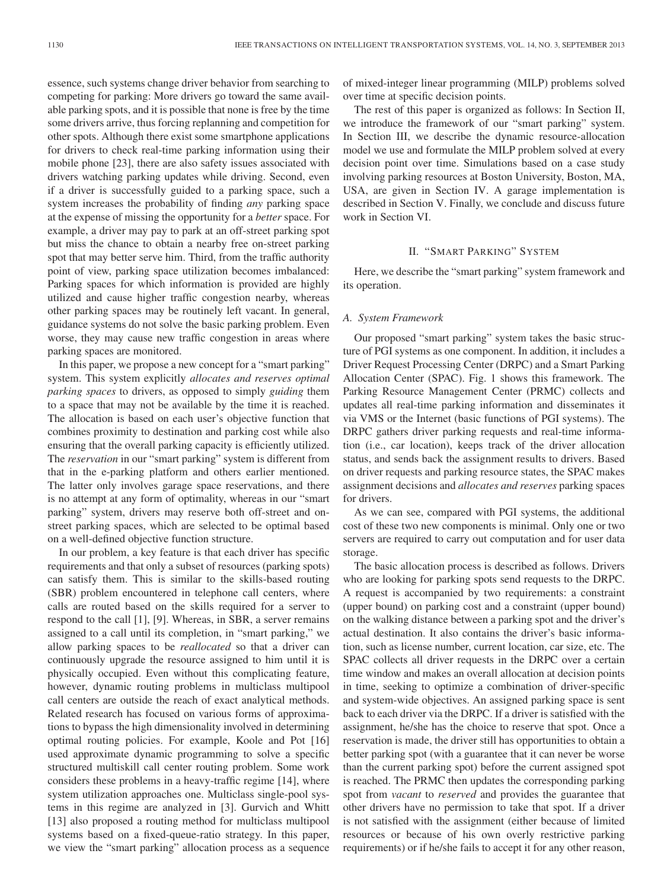essence, such systems change driver behavior from searching to competing for parking: More drivers go toward the same available parking spots, and it is possible that none is free by the time some drivers arrive, thus forcing replanning and competition for other spots. Although there exist some smartphone applications for drivers to check real-time parking information using their mobile phone [23], there are also safety issues associated with drivers watching parking updates while driving. Second, even if a driver is successfully guided to a parking space, such a system increases the probability of finding *any* parking space at the expense of missing the opportunity for a *better* space. For example, a driver may pay to park at an off-street parking spot but miss the chance to obtain a nearby free on-street parking spot that may better serve him. Third, from the traffic authority point of view, parking space utilization becomes imbalanced: Parking spaces for which information is provided are highly utilized and cause higher traffic congestion nearby, whereas other parking spaces may be routinely left vacant. In general, guidance systems do not solve the basic parking problem. Even worse, they may cause new traffic congestion in areas where parking spaces are monitored.

In this paper, we propose a new concept for a "smart parking" system. This system explicitly *allocates and reserves optimal parking spaces* to drivers, as opposed to simply *guiding* them to a space that may not be available by the time it is reached. The allocation is based on each user's objective function that combines proximity to destination and parking cost while also ensuring that the overall parking capacity is efficiently utilized. The *reservation* in our "smart parking" system is different from that in the e-parking platform and others earlier mentioned. The latter only involves garage space reservations, and there is no attempt at any form of optimality, whereas in our "smart parking" system, drivers may reserve both off-street and onstreet parking spaces, which are selected to be optimal based on a well-defined objective function structure.

In our problem, a key feature is that each driver has specific requirements and that only a subset of resources (parking spots) can satisfy them. This is similar to the skills-based routing (SBR) problem encountered in telephone call centers, where calls are routed based on the skills required for a server to respond to the call [1], [9]. Whereas, in SBR, a server remains assigned to a call until its completion, in "smart parking," we allow parking spaces to be *reallocated* so that a driver can continuously upgrade the resource assigned to him until it is physically occupied. Even without this complicating feature, however, dynamic routing problems in multiclass multipool call centers are outside the reach of exact analytical methods. Related research has focused on various forms of approximations to bypass the high dimensionality involved in determining optimal routing policies. For example, Koole and Pot [16] used approximate dynamic programming to solve a specific structured multiskill call center routing problem. Some work considers these problems in a heavy-traffic regime [14], where system utilization approaches one. Multiclass single-pool systems in this regime are analyzed in [3]. Gurvich and Whitt [13] also proposed a routing method for multiclass multipool systems based on a fixed-queue-ratio strategy. In this paper, we view the "smart parking" allocation process as a sequence of mixed-integer linear programming (MILP) problems solved over time at specific decision points.

The rest of this paper is organized as follows: In Section II, we introduce the framework of our "smart parking" system. In Section III, we describe the dynamic resource-allocation model we use and formulate the MILP problem solved at every decision point over time. Simulations based on a case study involving parking resources at Boston University, Boston, MA, USA, are given in Section IV. A garage implementation is described in Section V. Finally, we conclude and discuss future work in Section VI.

## II. "SMART PARKING" SYSTEM

Here, we describe the "smart parking" system framework and its operation.

### *A. System Framework*

Our proposed "smart parking" system takes the basic structure of PGI systems as one component. In addition, it includes a Driver Request Processing Center (DRPC) and a Smart Parking Allocation Center (SPAC). Fig. 1 shows this framework. The Parking Resource Management Center (PRMC) collects and updates all real-time parking information and disseminates it via VMS or the Internet (basic functions of PGI systems). The DRPC gathers driver parking requests and real-time information (i.e., car location), keeps track of the driver allocation status, and sends back the assignment results to drivers. Based on driver requests and parking resource states, the SPAC makes assignment decisions and *allocates and reserves* parking spaces for drivers.

As we can see, compared with PGI systems, the additional cost of these two new components is minimal. Only one or two servers are required to carry out computation and for user data storage.

The basic allocation process is described as follows. Drivers who are looking for parking spots send requests to the DRPC. A request is accompanied by two requirements: a constraint (upper bound) on parking cost and a constraint (upper bound) on the walking distance between a parking spot and the driver's actual destination. It also contains the driver's basic information, such as license number, current location, car size, etc. The SPAC collects all driver requests in the DRPC over a certain time window and makes an overall allocation at decision points in time, seeking to optimize a combination of driver-specific and system-wide objectives. An assigned parking space is sent back to each driver via the DRPC. If a driver is satisfied with the assignment, he/she has the choice to reserve that spot. Once a reservation is made, the driver still has opportunities to obtain a better parking spot (with a guarantee that it can never be worse than the current parking spot) before the current assigned spot is reached. The PRMC then updates the corresponding parking spot from *vacant* to *reserved* and provides the guarantee that other drivers have no permission to take that spot. If a driver is not satisfied with the assignment (either because of limited resources or because of his own overly restrictive parking requirements) or if he/she fails to accept it for any other reason,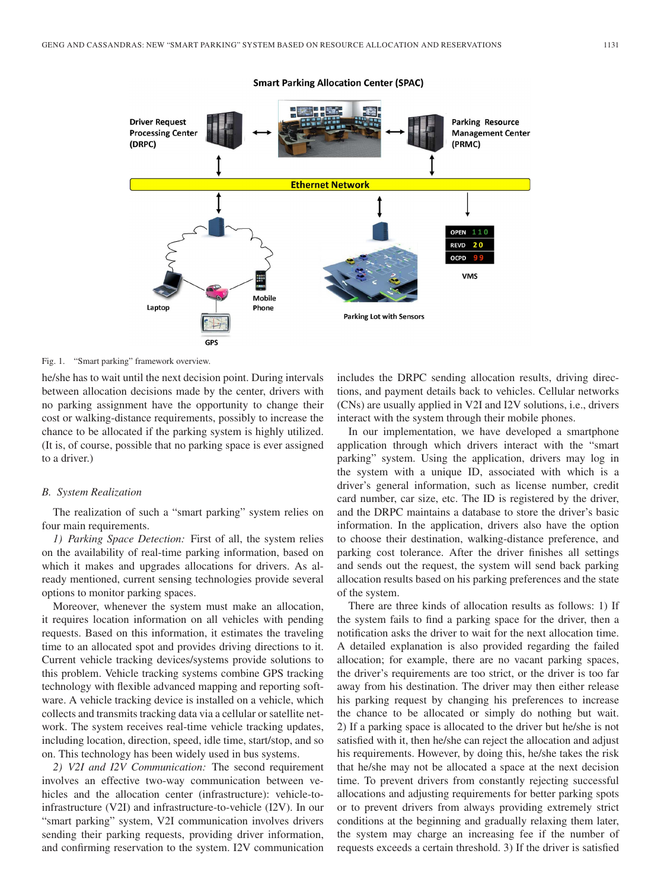

## **Smart Parking Allocation Center (SPAC)**

Fig. 1. "Smart parking" framework overview.

he/she has to wait until the next decision point. During intervals between allocation decisions made by the center, drivers with no parking assignment have the opportunity to change their cost or walking-distance requirements, possibly to increase the chance to be allocated if the parking system is highly utilized. (It is, of course, possible that no parking space is ever assigned to a driver.)

# *B. System Realization*

The realization of such a "smart parking" system relies on four main requirements.

*1) Parking Space Detection:* First of all, the system relies on the availability of real-time parking information, based on which it makes and upgrades allocations for drivers. As already mentioned, current sensing technologies provide several options to monitor parking spaces.

Moreover, whenever the system must make an allocation, it requires location information on all vehicles with pending requests. Based on this information, it estimates the traveling time to an allocated spot and provides driving directions to it. Current vehicle tracking devices/systems provide solutions to this problem. Vehicle tracking systems combine GPS tracking technology with flexible advanced mapping and reporting software. A vehicle tracking device is installed on a vehicle, which collects and transmits tracking data via a cellular or satellite network. The system receives real-time vehicle tracking updates, including location, direction, speed, idle time, start/stop, and so on. This technology has been widely used in bus systems.

*2) V2I and I2V Communication:* The second requirement involves an effective two-way communication between vehicles and the allocation center (infrastructure): vehicle-toinfrastructure (V2I) and infrastructure-to-vehicle (I2V). In our "smart parking" system, V2I communication involves drivers sending their parking requests, providing driver information, and confirming reservation to the system. I2V communication

includes the DRPC sending allocation results, driving directions, and payment details back to vehicles. Cellular networks (CNs) are usually applied in V2I and I2V solutions, i.e., drivers interact with the system through their mobile phones.

In our implementation, we have developed a smartphone application through which drivers interact with the "smart parking" system. Using the application, drivers may log in the system with a unique ID, associated with which is a driver's general information, such as license number, credit card number, car size, etc. The ID is registered by the driver, and the DRPC maintains a database to store the driver's basic information. In the application, drivers also have the option to choose their destination, walking-distance preference, and parking cost tolerance. After the driver finishes all settings and sends out the request, the system will send back parking allocation results based on his parking preferences and the state of the system.

There are three kinds of allocation results as follows: 1) If the system fails to find a parking space for the driver, then a notification asks the driver to wait for the next allocation time. A detailed explanation is also provided regarding the failed allocation; for example, there are no vacant parking spaces, the driver's requirements are too strict, or the driver is too far away from his destination. The driver may then either release his parking request by changing his preferences to increase the chance to be allocated or simply do nothing but wait. 2) If a parking space is allocated to the driver but he/she is not satisfied with it, then he/she can reject the allocation and adjust his requirements. However, by doing this, he/she takes the risk that he/she may not be allocated a space at the next decision time. To prevent drivers from constantly rejecting successful allocations and adjusting requirements for better parking spots or to prevent drivers from always providing extremely strict conditions at the beginning and gradually relaxing them later, the system may charge an increasing fee if the number of requests exceeds a certain threshold. 3) If the driver is satisfied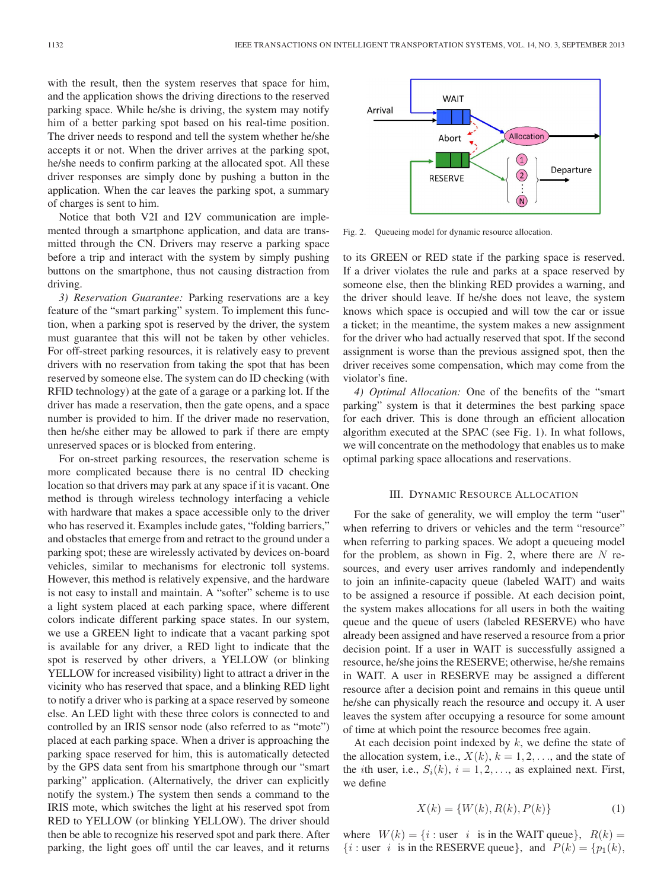with the result, then the system reserves that space for him, and the application shows the driving directions to the reserved parking space. While he/she is driving, the system may notify him of a better parking spot based on his real-time position. The driver needs to respond and tell the system whether he/she accepts it or not. When the driver arrives at the parking spot, he/she needs to confirm parking at the allocated spot. All these driver responses are simply done by pushing a button in the application. When the car leaves the parking spot, a summary of charges is sent to him.

Notice that both V2I and I2V communication are implemented through a smartphone application, and data are transmitted through the CN. Drivers may reserve a parking space before a trip and interact with the system by simply pushing buttons on the smartphone, thus not causing distraction from driving.

*3) Reservation Guarantee:* Parking reservations are a key feature of the "smart parking" system. To implement this function, when a parking spot is reserved by the driver, the system must guarantee that this will not be taken by other vehicles. For off-street parking resources, it is relatively easy to prevent drivers with no reservation from taking the spot that has been reserved by someone else. The system can do ID checking (with RFID technology) at the gate of a garage or a parking lot. If the driver has made a reservation, then the gate opens, and a space number is provided to him. If the driver made no reservation, then he/she either may be allowed to park if there are empty unreserved spaces or is blocked from entering.

For on-street parking resources, the reservation scheme is more complicated because there is no central ID checking location so that drivers may park at any space if it is vacant. One method is through wireless technology interfacing a vehicle with hardware that makes a space accessible only to the driver who has reserved it. Examples include gates, "folding barriers," and obstacles that emerge from and retract to the ground under a parking spot; these are wirelessly activated by devices on-board vehicles, similar to mechanisms for electronic toll systems. However, this method is relatively expensive, and the hardware is not easy to install and maintain. A "softer" scheme is to use a light system placed at each parking space, where different colors indicate different parking space states. In our system, we use a GREEN light to indicate that a vacant parking spot is available for any driver, a RED light to indicate that the spot is reserved by other drivers, a YELLOW (or blinking YELLOW for increased visibility) light to attract a driver in the vicinity who has reserved that space, and a blinking RED light to notify a driver who is parking at a space reserved by someone else. An LED light with these three colors is connected to and controlled by an IRIS sensor node (also referred to as "mote") placed at each parking space. When a driver is approaching the parking space reserved for him, this is automatically detected by the GPS data sent from his smartphone through our "smart parking" application. (Alternatively, the driver can explicitly notify the system.) The system then sends a command to the IRIS mote, which switches the light at his reserved spot from RED to YELLOW (or blinking YELLOW). The driver should then be able to recognize his reserved spot and park there. After parking, the light goes off until the car leaves, and it returns



Fig. 2. Queueing model for dynamic resource allocation.

to its GREEN or RED state if the parking space is reserved. If a driver violates the rule and parks at a space reserved by someone else, then the blinking RED provides a warning, and the driver should leave. If he/she does not leave, the system knows which space is occupied and will tow the car or issue a ticket; in the meantime, the system makes a new assignment for the driver who had actually reserved that spot. If the second assignment is worse than the previous assigned spot, then the driver receives some compensation, which may come from the violator's fine.

*4) Optimal Allocation:* One of the benefits of the "smart parking" system is that it determines the best parking space for each driver. This is done through an efficient allocation algorithm executed at the SPAC (see Fig. 1). In what follows, we will concentrate on the methodology that enables us to make optimal parking space allocations and reservations.

# III. DYNAMIC RESOURCE ALLOCATION

For the sake of generality, we will employ the term "user" when referring to drivers or vehicles and the term "resource" when referring to parking spaces. We adopt a queueing model for the problem, as shown in Fig. 2, where there are  $N$  resources, and every user arrives randomly and independently to join an infinite-capacity queue (labeled WAIT) and waits to be assigned a resource if possible. At each decision point, the system makes allocations for all users in both the waiting queue and the queue of users (labeled RESERVE) who have already been assigned and have reserved a resource from a prior decision point. If a user in WAIT is successfully assigned a resource, he/she joins the RESERVE; otherwise, he/she remains in WAIT. A user in RESERVE may be assigned a different resource after a decision point and remains in this queue until he/she can physically reach the resource and occupy it. A user leaves the system after occupying a resource for some amount of time at which point the resource becomes free again.

At each decision point indexed by  $k$ , we define the state of the allocation system, i.e.,  $X(k)$ ,  $k = 1, 2, \dots$ , and the state of the *i*th user, i.e.,  $S_i(k)$ ,  $i = 1, 2, \ldots$ , as explained next. First, we define

$$
X(k) = \{W(k), R(k), P(k)\}\tag{1}
$$

where  $W(k) = \{i :$  user i is in the WAIT queue},  $R(k) =$  ${i: user i is in the RESERENCE queue}, and P(k) = {p<sub>1</sub>(k)},$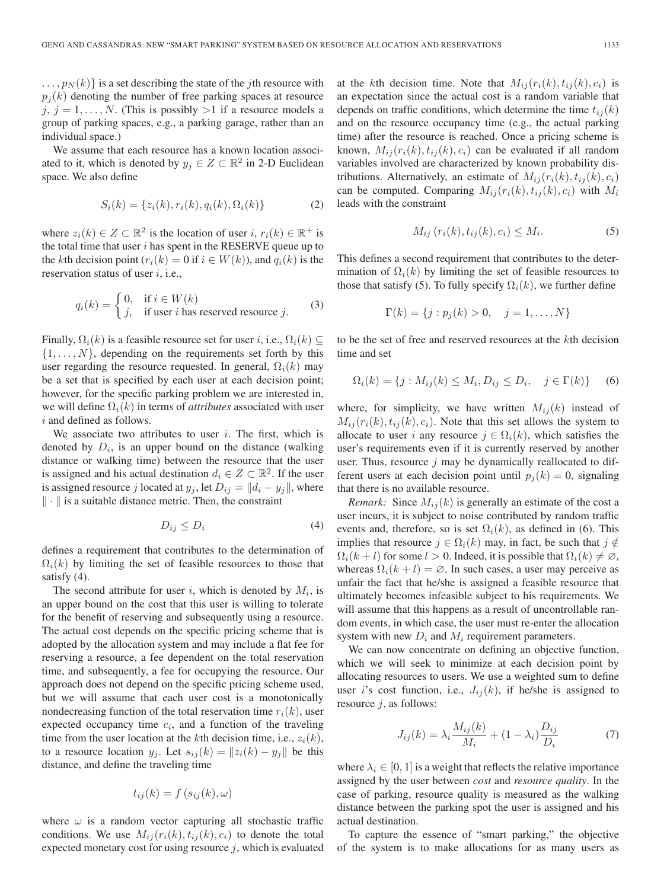$..., p_N(k)$  is a set describing the state of the *j*th resource with  $p_i(k)$  denoting the number of free parking spaces at resource j,  $j = 1, \ldots, N$ . (This is possibly  $>1$  if a resource models a group of parking spaces, e.g., a parking garage, rather than an individual space.)

We assume that each resource has a known location associated to it, which is denoted by  $y_j \in Z \subset \mathbb{R}^2$  in 2-D Euclidean space. We also define

$$
S_i(k) = \{z_i(k), r_i(k), q_i(k), \Omega_i(k)\}\tag{2}
$$

where  $z_i(k) \in Z \subset \mathbb{R}^2$  is the location of user  $i, r_i(k) \in \mathbb{R}^+$  is the total time that user  $i$  has spent in the RESERVE queue up to the kth decision point ( $r_i(k) = 0$  if  $i \in W(k)$ ), and  $q_i(k)$  is the reservation status of user  $i$ , i.e.,

$$
q_i(k) = \begin{cases} 0, & \text{if } i \in W(k) \\ j, & \text{if user } i \text{ has reserved resource } j. \end{cases}
$$
 (3)

Finally,  $\Omega_i(k)$  is a feasible resource set for user i, i.e.,  $\Omega_i(k) \subseteq$  $\{1,\ldots,N\}$ , depending on the requirements set forth by this user regarding the resource requested. In general,  $\Omega_i(k)$  may be a set that is specified by each user at each decision point; however, for the specific parking problem we are interested in, we will define  $\Omega_i(k)$  in terms of *attributes* associated with user i and defined as follows.

We associate two attributes to user  $i$ . The first, which is denoted by  $D_i$ , is an upper bound on the distance (walking distance or walking time) between the resource that the user is assigned and his actual destination  $d_i \in Z \subset \mathbb{R}^2$ . If the user is assigned resource j located at  $y_i$ , let  $D_{ij} = ||d_i - y_i||$ , where  $\|\cdot\|$  is a suitable distance metric. Then, the constraint

$$
D_{ij} \le D_i \tag{4}
$$

defines a requirement that contributes to the determination of  $\Omega_i(k)$  by limiting the set of feasible resources to those that satisfy (4).

The second attribute for user i, which is denoted by  $M_i$ , is an upper bound on the cost that this user is willing to tolerate for the benefit of reserving and subsequently using a resource. The actual cost depends on the specific pricing scheme that is adopted by the allocation system and may include a flat fee for reserving a resource, a fee dependent on the total reservation time, and subsequently, a fee for occupying the resource. Our approach does not depend on the specific pricing scheme used, but we will assume that each user cost is a monotonically nondecreasing function of the total reservation time  $r_i(k)$ , user expected occupancy time  $c_i$ , and a function of the traveling time from the user location at the kth decision time, i.e.,  $z_i(k)$ , to a resource location  $y_j$ . Let  $s_{ij}(k) = ||z_i(k) - y_j||$  be this distance, and define the traveling time

$$
t_{ij}(k) = f(s_{ij}(k), \omega)
$$

where  $\omega$  is a random vector capturing all stochastic traffic conditions. We use  $M_{ij}(r_i(k), t_{ij}(k), c_i)$  to denote the total expected monetary cost for using resource  $j$ , which is evaluated at the kth decision time. Note that  $M_{ij}(r_i(k), t_{ij}(k), c_i)$  is an expectation since the actual cost is a random variable that depends on traffic conditions, which determine the time  $t_{ij}(k)$ and on the resource occupancy time (e.g., the actual parking time) after the resource is reached. Once a pricing scheme is known,  $M_{ij}(r_i(k), t_{ij}(k), c_i)$  can be evaluated if all random variables involved are characterized by known probability distributions. Alternatively, an estimate of  $M_{ij}(r_i(k), t_{ij}(k), c_i)$ can be computed. Comparing  $M_{ij}(r_i(k), t_{ij}(k), c_i)$  with  $M_i$ leads with the constraint

$$
M_{ij}\left(r_i(k), t_{ij}(k), c_i\right) \le M_i. \tag{5}
$$

This defines a second requirement that contributes to the determination of  $\Omega_i(k)$  by limiting the set of feasible resources to those that satisfy (5). To fully specify  $\Omega_i(k)$ , we further define

$$
\Gamma(k) = \{ j : p_j(k) > 0, \quad j = 1, ..., N \}
$$

to be the set of free and reserved resources at the kth decision time and set

$$
\Omega_i(k) = \{ j : M_{ij}(k) \le M_i, D_{ij} \le D_i, \quad j \in \Gamma(k) \} \tag{6}
$$

where, for simplicity, we have written  $M_{ij}(k)$  instead of  $M_{ij}(r_i(k), t_{ij}(k), c_i)$ . Note that this set allows the system to allocate to user i any resource  $j \in \Omega_i(k)$ , which satisfies the user's requirements even if it is currently reserved by another user. Thus, resource  $j$  may be dynamically reallocated to different users at each decision point until  $p_j (k) = 0$ , signaling that there is no available resource.

*Remark:* Since  $M_{ij}(k)$  is generally an estimate of the cost a user incurs, it is subject to noise contributed by random traffic events and, therefore, so is set  $\Omega_i(k)$ , as defined in (6). This implies that resource  $j \in \Omega_i(k)$  may, in fact, be such that  $j \notin$  $\Omega_i(k+l)$  for some  $l > 0$ . Indeed, it is possible that  $\Omega_i(k) \neq \emptyset$ , whereas  $\Omega_i(k+l) = \emptyset$ . In such cases, a user may perceive as unfair the fact that he/she is assigned a feasible resource that ultimately becomes infeasible subject to his requirements. We will assume that this happens as a result of uncontrollable random events, in which case, the user must re-enter the allocation system with new  $D_i$  and  $M_i$  requirement parameters.

We can now concentrate on defining an objective function, which we will seek to minimize at each decision point by allocating resources to users. We use a weighted sum to define user i's cost function, i.e.,  $J_{ij}(k)$ , if he/she is assigned to resource  $j$ , as follows:

$$
J_{ij}(k) = \lambda_i \frac{M_{ij}(k)}{M_i} + (1 - \lambda_i) \frac{D_{ij}}{D_i}
$$
 (7)

where  $\lambda_i \in [0, 1]$  is a weight that reflects the relative importance assigned by the user between *cost* and *resource quality*. In the case of parking, resource quality is measured as the walking distance between the parking spot the user is assigned and his actual destination.

To capture the essence of "smart parking," the objective of the system is to make allocations for as many users as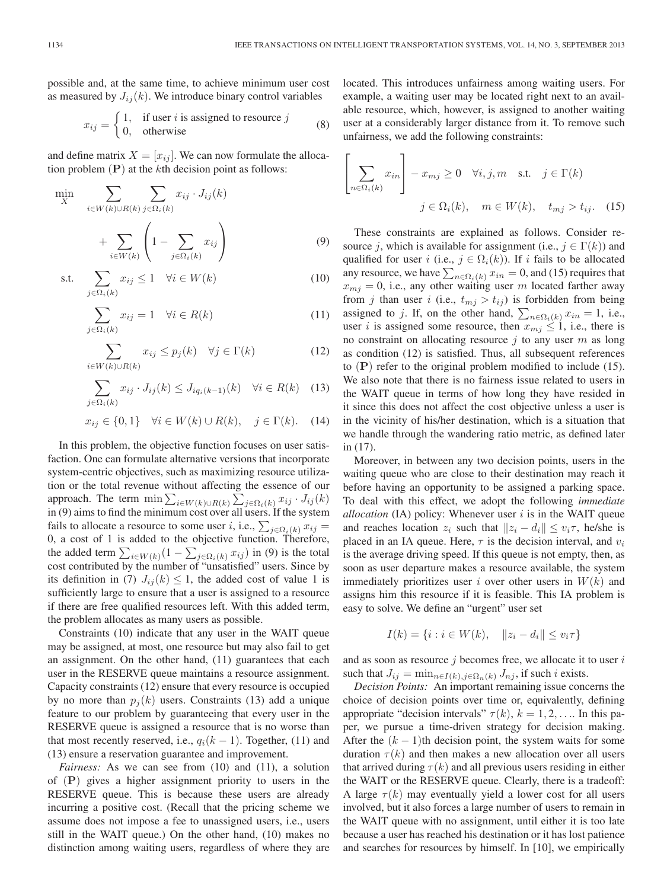possible and, at the same time, to achieve minimum user cost as measured by  $J_{ij}(k)$ . We introduce binary control variables

$$
x_{ij} = \begin{cases} 1, & \text{if user } i \text{ is assigned to resource } j \\ 0, & \text{otherwise} \end{cases}
$$
 (8)

and define matrix  $X = [x_{ij}]$ . We can now formulate the allocation problem  $(P)$  at the kth decision point as follows:

$$
\min_{X} \sum_{i \in W(k) \cup R(k)} \sum_{j \in \Omega_i(k)} x_{ij} \cdot J_{ij}(k) + \sum_{i \in W(k)} \left( 1 - \sum_{j \in \Omega_i(k)} x_{ij} \right)
$$
\n(9)

$$
\text{s.t.} \quad \sum_{j \in \Omega_i(k)} x_{ij} \le 1 \quad \forall i \in W(k) \tag{10}
$$

$$
\sum_{j \in \Omega_i(k)} x_{ij} = 1 \quad \forall i \in R(k)
$$
\n(11)

$$
\sum_{i \in W(k) \cup R(k)} x_{ij} \le p_j(k) \quad \forall j \in \Gamma(k)
$$
\n(12)

$$
\sum_{j \in \Omega_i(k)} x_{ij} \cdot J_{ij}(k) \le J_{iq_i(k-1)}(k) \quad \forall i \in R(k) \quad (13)
$$

$$
x_{ij} \in \{0, 1\} \quad \forall i \in W(k) \cup R(k), \quad j \in \Gamma(k). \tag{14}
$$

In this problem, the objective function focuses on user satisfaction. One can formulate alternative versions that incorporate system-centric objectives, such as maximizing resource utilization or the total revenue without affecting the essence of our approach. The term  $\min \sum_{i \in W(k) \cup R(k)} \sum_{j \in \Omega_i(k)} x_{ij} \cdot J_{ij}(k)$ in (9) aims to find the minimum cost over all users. If the system fails to allocate a resource to some user *i*, i.e.,  $\sum_{j \in \Omega_i(k)} x_{ij} =$ 0, a cost of 1 is added to the objective function. Therefore, the added term  $\sum_{i \in W(k)} (1 - \sum_{j \in \Omega_i(k)} x_{ij})$  in (9) is the total cost contributed by the number of "unsatisfied" users. Since by its definition in (7)  $J_{ij}(k) \leq 1$ , the added cost of value 1 is sufficiently large to ensure that a user is assigned to a resource if there are free qualified resources left. With this added term, the problem allocates as many users as possible.

Constraints (10) indicate that any user in the WAIT queue may be assigned, at most, one resource but may also fail to get an assignment. On the other hand, (11) guarantees that each user in the RESERVE queue maintains a resource assignment. Capacity constraints (12) ensure that every resource is occupied by no more than  $p_i(k)$  users. Constraints (13) add a unique feature to our problem by guaranteeing that every user in the RESERVE queue is assigned a resource that is no worse than that most recently reserved, i.e.,  $q_i(k-1)$ . Together, (11) and (13) ensure a reservation guarantee and improvement.

*Fairness:* As we can see from (10) and (11), a solution of (**P**) gives a higher assignment priority to users in the RESERVE queue. This is because these users are already incurring a positive cost. (Recall that the pricing scheme we assume does not impose a fee to unassigned users, i.e., users still in the WAIT queue.) On the other hand, (10) makes no distinction among waiting users, regardless of where they are located. This introduces unfairness among waiting users. For example, a waiting user may be located right next to an available resource, which, however, is assigned to another waiting user at a considerably larger distance from it. To remove such unfairness, we add the following constraints:

$$
\left[\sum_{n \in \Omega_i(k)} x_{in}\right] - x_{mj} \ge 0 \quad \forall i, j, m \quad \text{s.t.} \quad j \in \Gamma(k)
$$

$$
j \in \Omega_i(k), \quad m \in W(k), \quad t_{mj} > t_{ij}. \quad (15)
$$

These constraints are explained as follows. Consider resource j, which is available for assignment (i.e.,  $j \in \Gamma(k)$ ) and qualified for user i (i.e.,  $j \in \Omega_i(k)$ ). If i fails to be allocated any resource, we have  $\sum_{n\in\Omega_i(k)} x_{in}=0$ , and (15) requires that  $x_{mi} = 0$ , i.e., any other waiting user m located farther away from j than user i (i.e.,  $t_{mj} > t_{ij}$ ) is forbidden from being assigned to j. If, on the other hand,  $\sum_{n \in \Omega_i(k)} x_{in} = 1$ , i.e., user *i* is assigned some resource, then  $x_{mj} \leq 1$ , i.e., there is no constraint on allocating resource  $j$  to any user  $m$  as long as condition (12) is satisfied. Thus, all subsequent references to (**P**) refer to the original problem modified to include (15). We also note that there is no fairness issue related to users in the WAIT queue in terms of how long they have resided in it since this does not affect the cost objective unless a user is in the vicinity of his/her destination, which is a situation that we handle through the wandering ratio metric, as defined later in (17).

Moreover, in between any two decision points, users in the waiting queue who are close to their destination may reach it before having an opportunity to be assigned a parking space. To deal with this effect, we adopt the following *immediate allocation* (IA) policy: Whenever user  $i$  is in the WAIT queue and reaches location  $z_i$  such that  $||z_i - d_i|| \le v_i \tau$ , he/she is placed in an IA queue. Here,  $\tau$  is the decision interval, and  $v_i$ is the average driving speed. If this queue is not empty, then, as soon as user departure makes a resource available, the system immediately prioritizes user i over other users in  $W(k)$  and assigns him this resource if it is feasible. This IA problem is easy to solve. We define an "urgent" user set

$$
I(k) = \{i : i \in W(k), \quad ||z_i - d_i|| \le v_i \tau\}
$$

and as soon as resource  $j$  becomes free, we allocate it to user  $i$ such that  $J_{ij} = \min_{n \in I(k), j \in \Omega_n(k)} J_{nj}$ , if such i exists.

*Decision Points:* An important remaining issue concerns the choice of decision points over time or, equivalently, defining appropriate "decision intervals"  $\tau(k)$ ,  $k = 1, 2, \ldots$  In this paper, we pursue a time-driven strategy for decision making. After the  $(k - 1)$ th decision point, the system waits for some duration  $\tau(k)$  and then makes a new allocation over all users that arrived during  $\tau(k)$  and all previous users residing in either the WAIT or the RESERVE queue. Clearly, there is a tradeoff: A large  $\tau(k)$  may eventually yield a lower cost for all users involved, but it also forces a large number of users to remain in the WAIT queue with no assignment, until either it is too late because a user has reached his destination or it has lost patience and searches for resources by himself. In [10], we empirically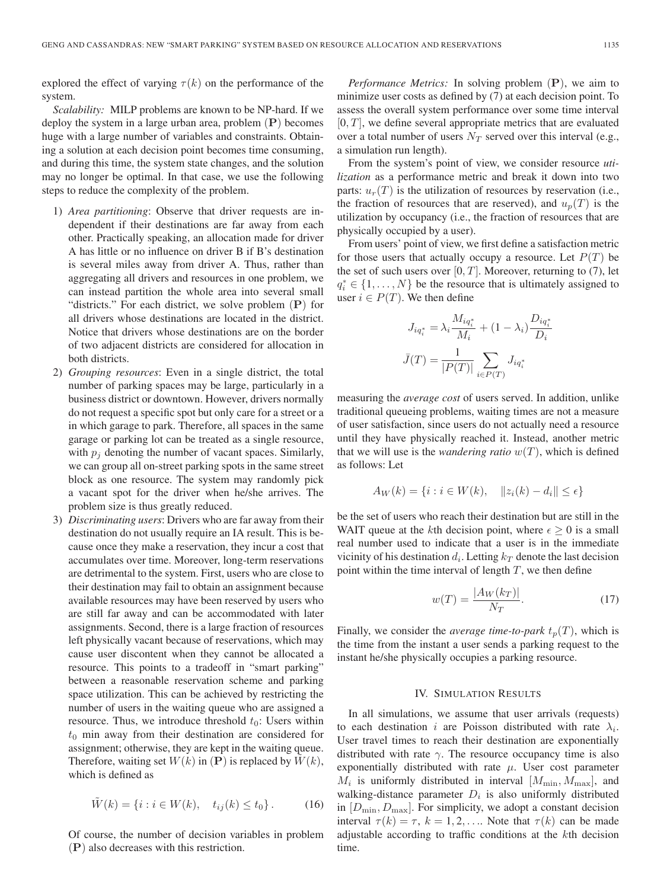explored the effect of varying  $\tau(k)$  on the performance of the system.

*Scalability:* MILP problems are known to be NP-hard. If we deploy the system in a large urban area, problem (**P**) becomes huge with a large number of variables and constraints. Obtaining a solution at each decision point becomes time consuming, and during this time, the system state changes, and the solution may no longer be optimal. In that case, we use the following steps to reduce the complexity of the problem.

- 1) *Area partitioning*: Observe that driver requests are independent if their destinations are far away from each other. Practically speaking, an allocation made for driver A has little or no influence on driver B if B's destination is several miles away from driver A. Thus, rather than aggregating all drivers and resources in one problem, we can instead partition the whole area into several small "districts." For each district, we solve problem (**P**) for all drivers whose destinations are located in the district. Notice that drivers whose destinations are on the border of two adjacent districts are considered for allocation in both districts.
- 2) *Grouping resources*: Even in a single district, the total number of parking spaces may be large, particularly in a business district or downtown. However, drivers normally do not request a specific spot but only care for a street or a in which garage to park. Therefore, all spaces in the same garage or parking lot can be treated as a single resource, with  $p_i$  denoting the number of vacant spaces. Similarly, we can group all on-street parking spots in the same street block as one resource. The system may randomly pick a vacant spot for the driver when he/she arrives. The problem size is thus greatly reduced.
- 3) *Discriminating users*: Drivers who are far away from their destination do not usually require an IA result. This is because once they make a reservation, they incur a cost that accumulates over time. Moreover, long-term reservations are detrimental to the system. First, users who are close to their destination may fail to obtain an assignment because available resources may have been reserved by users who are still far away and can be accommodated with later assignments. Second, there is a large fraction of resources left physically vacant because of reservations, which may cause user discontent when they cannot be allocated a resource. This points to a tradeoff in "smart parking" between a reasonable reservation scheme and parking space utilization. This can be achieved by restricting the number of users in the waiting queue who are assigned a resource. Thus, we introduce threshold  $t_0$ : Users within  $t_0$  min away from their destination are considered for assignment; otherwise, they are kept in the waiting queue. Therefore, waiting set  $W(k)$  in  $(\mathbf{P})$  is replaced by  $W(k)$ , which is defined as

$$
\tilde{W}(k) = \{ i : i \in W(k), \quad t_{ij}(k) \le t_0 \}.
$$
 (16)

Of course, the number of decision variables in problem (**P**) also decreases with this restriction.

*Performance Metrics:* In solving problem (**P**), we aim to minimize user costs as defined by (7) at each decision point. To assess the overall system performance over some time interval  $[0, T]$ , we define several appropriate metrics that are evaluated over a total number of users  $N_T$  served over this interval (e.g., a simulation run length).

From the system's point of view, we consider resource *utilization* as a performance metric and break it down into two parts:  $u_r(T)$  is the utilization of resources by reservation (i.e., the fraction of resources that are reserved), and  $u_p(T)$  is the utilization by occupancy (i.e., the fraction of resources that are physically occupied by a user).

From users' point of view, we first define a satisfaction metric for those users that actually occupy a resource. Let  $P(T)$  be the set of such users over  $[0, T]$ . Moreover, returning to (7), let  $q_i^* \in \{1, \ldots, N\}$  be the resource that is ultimately assigned to user  $i \in P(T)$ . We then define

$$
J_{iq_i^*} = \lambda_i \frac{M_{iq_i^*}}{M_i} + (1 - \lambda_i) \frac{D_{iq_i^*}}{D_i}
$$

$$
\bar{J}(T) = \frac{1}{|P(T)|} \sum_{i \in P(T)} J_{iq_i^*}
$$

measuring the *average cost* of users served. In addition, unlike traditional queueing problems, waiting times are not a measure of user satisfaction, since users do not actually need a resource until they have physically reached it. Instead, another metric that we will use is the *wandering ratio*  $w(T)$ , which is defined as follows: Let

$$
A_W(k) = \{ i : i \in W(k), \quad ||z_i(k) - d_i|| \le \epsilon \}
$$

be the set of users who reach their destination but are still in the WAIT queue at the kth decision point, where  $\epsilon \geq 0$  is a small real number used to indicate that a user is in the immediate vicinity of his destination  $d_i$ . Letting  $k_T$  denote the last decision point within the time interval of length  $T$ , we then define

$$
w(T) = \frac{|A_W(k_T)|}{N_T}.\tag{17}
$$

Finally, we consider the *average time-to-park*  $t_p(T)$ , which is the time from the instant a user sends a parking request to the instant he/she physically occupies a parking resource.

# IV. SIMULATION RESULTS

In all simulations, we assume that user arrivals (requests) to each destination i are Poisson distributed with rate  $\lambda_i$ . User travel times to reach their destination are exponentially distributed with rate  $\gamma$ . The resource occupancy time is also exponentially distributed with rate  $\mu$ . User cost parameter  $M_i$  is uniformly distributed in interval  $[M_{\min}, M_{\max}]$ , and walking-distance parameter  $D_i$  is also uniformly distributed in  $[D_{\min}, D_{\max}]$ . For simplicity, we adopt a constant decision interval  $\tau(k) = \tau$ ,  $k = 1, 2, \ldots$  Note that  $\tau(k)$  can be made adjustable according to traffic conditions at the kth decision time.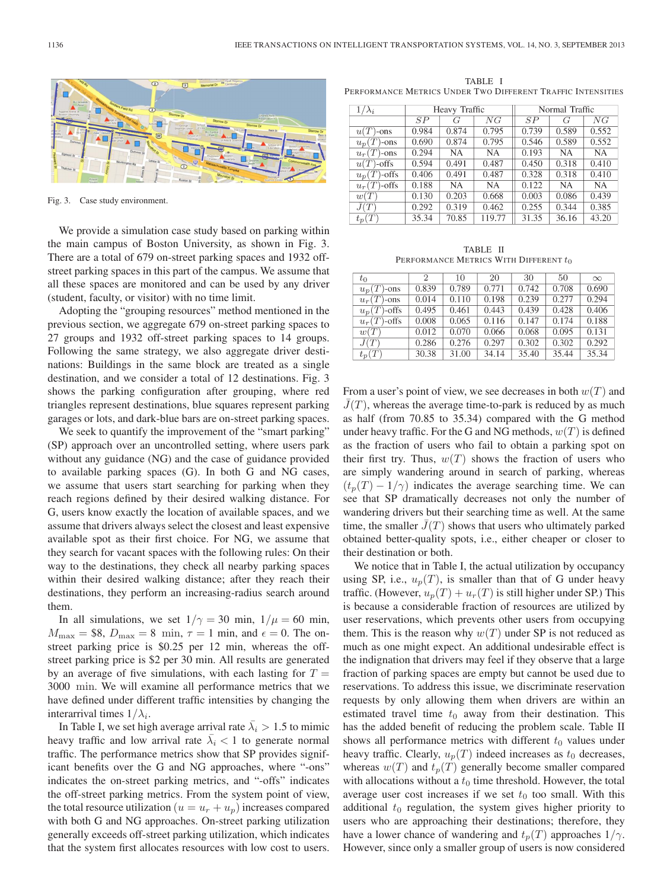

Fig. 3. Case study environment.

We provide a simulation case study based on parking within the main campus of Boston University, as shown in Fig. 3. There are a total of 679 on-street parking spaces and 1932 offstreet parking spaces in this part of the campus. We assume that all these spaces are monitored and can be used by any driver (student, faculty, or visitor) with no time limit.

Adopting the "grouping resources" method mentioned in the previous section, we aggregate 679 on-street parking spaces to 27 groups and 1932 off-street parking spaces to 14 groups. Following the same strategy, we also aggregate driver destinations: Buildings in the same block are treated as a single destination, and we consider a total of 12 destinations. Fig. 3 shows the parking configuration after grouping, where red triangles represent destinations, blue squares represent parking garages or lots, and dark-blue bars are on-street parking spaces.

We seek to quantify the improvement of the "smart parking" (SP) approach over an uncontrolled setting, where users park without any guidance (NG) and the case of guidance provided to available parking spaces (G). In both G and NG cases, we assume that users start searching for parking when they reach regions defined by their desired walking distance. For G, users know exactly the location of available spaces, and we assume that drivers always select the closest and least expensive available spot as their first choice. For NG, we assume that they search for vacant spaces with the following rules: On their way to the destinations, they check all nearby parking spaces within their desired walking distance; after they reach their destinations, they perform an increasing-radius search around them.

In all simulations, we set  $1/\gamma = 30$  min,  $1/\mu = 60$  min,  $M_{\text{max}} =$  \$8,  $D_{\text{max}} = 8$  min,  $\tau = 1$  min, and  $\epsilon = 0$ . The onstreet parking price is \$0.25 per 12 min, whereas the offstreet parking price is \$2 per 30 min. All results are generated by an average of five simulations, with each lasting for  $T =$ 3000 min. We will examine all performance metrics that we have defined under different traffic intensities by changing the interarrival times  $1/\lambda_i$ .

In Table I, we set high average arrival rate  $\bar{\lambda}_i > 1.5$  to mimic heavy traffic and low arrival rate  $\overline{\lambda}_i < 1$  to generate normal traffic. The performance metrics show that SP provides significant benefits over the G and NG approaches, where "-ons" indicates the on-street parking metrics, and "-offs" indicates the off-street parking metrics. From the system point of view, the total resource utilization  $(u = u_r + u_p)$  increases compared with both G and NG approaches. On-street parking utilization generally exceeds off-street parking utilization, which indicates that the system first allocates resources with low cost to users.

TABLE I PERFORMANCE METRICS UNDER TWO DIFFERENT TRAFFIC INTENSITIES

| $1/\lambda_i$  | Heavy Traffic |           |                 | Normal Traffic |           |           |  |
|----------------|---------------|-----------|-----------------|----------------|-----------|-----------|--|
|                | S P           | G         | $\overline{NG}$ | SP             | G         | ΝG        |  |
| $u(T)$ -ons    | 0.984         | 0.874     | 0.795           | 0.739          | 0.589     | 0.552     |  |
| $u_p(T)$ -ons  | 0.690         | 0.874     | 0.795           | 0.546          | 0.589     | 0.552     |  |
| $u_r(T)$ -ons  | 0.294         | NA        | NA.             | 0.193          | <b>NA</b> | <b>NA</b> |  |
| $u(T)$ -offs   | 0.594         | 0.491     | 0.487           | 0.450          | 0.318     | 0.410     |  |
| $u_p(T)$ -offs | 0.406         | 0.491     | 0.487           | 0.328          | 0.318     | 0.410     |  |
| $u_r(T)$ -offs | 0.188         | <b>NA</b> | NA.             | 0.122          | <b>NA</b> | NA.       |  |
| w(T)           | 0.130         | 0.203     | 0.668           | 0.003          | 0.086     | 0.439     |  |
| J(T)           | 0.292         | 0.319     | 0.462           | 0.255          | 0.344     | 0.385     |  |
| $t_p(T)$       | 35.34         | 70.85     | 119.77          | 31.35          | 36.16     | 43.20     |  |

TABLE II PERFORMANCE METRICS WITH DIFFERENT  $t_0$ 

| $t_0$          | 2     | 10    | 20    | 30    | 50    | $\infty$ |
|----------------|-------|-------|-------|-------|-------|----------|
| $u_p(T)$ -ons  | 0.839 | 0.789 | 0.771 | 0.742 | 0.708 | 0.690    |
| $u_r(T)$ -ons  | 0.014 | 0.110 | 0.198 | 0.239 | 0.277 | 0.294    |
| $u_p(T)$ -offs | 0.495 | 0.461 | 0.443 | 0.439 | 0.428 | 0.406    |
| $u_r(T)$ -offs | 0.008 | 0.065 | 0.116 | 0.147 | 0.174 | 0.188    |
| w(T)           | 0.012 | 0.070 | 0.066 | 0.068 | 0.095 | 0.131    |
| J(T)           | 0.286 | 0.276 | 0.297 | 0.302 | 0.302 | 0.292    |
| $t_p(T)$       | 30.38 | 31.00 | 34.14 | 35.40 | 35.44 | 35.34    |

From a user's point of view, we see decreases in both  $w(T)$  and  $J(T)$ , whereas the average time-to-park is reduced by as much as half (from 70.85 to 35.34) compared with the G method under heavy traffic. For the G and NG methods,  $w(T)$  is defined as the fraction of users who fail to obtain a parking spot on their first try. Thus,  $w(T)$  shows the fraction of users who are simply wandering around in search of parking, whereas  $(t_p(T) - 1/\gamma)$  indicates the average searching time. We can see that SP dramatically decreases not only the number of wandering drivers but their searching time as well. At the same time, the smaller  $\bar{J}(T)$  shows that users who ultimately parked obtained better-quality spots, i.e., either cheaper or closer to their destination or both.

We notice that in Table I, the actual utilization by occupancy using SP, i.e.,  $u_p(T)$ , is smaller than that of G under heavy traffic. (However,  $u_p(T) + u_r(T)$  is still higher under SP.) This is because a considerable fraction of resources are utilized by user reservations, which prevents other users from occupying them. This is the reason why  $w(T)$  under SP is not reduced as much as one might expect. An additional undesirable effect is the indignation that drivers may feel if they observe that a large fraction of parking spaces are empty but cannot be used due to reservations. To address this issue, we discriminate reservation requests by only allowing them when drivers are within an estimated travel time  $t_0$  away from their destination. This has the added benefit of reducing the problem scale. Table II shows all performance metrics with different  $t_0$  values under heavy traffic. Clearly,  $u_p(T)$  indeed increases as  $t_0$  decreases, whereas  $w(T)$  and  $t_p(T)$  generally become smaller compared with allocations without a  $t_0$  time threshold. However, the total average user cost increases if we set  $t_0$  too small. With this additional  $t_0$  regulation, the system gives higher priority to users who are approaching their destinations; therefore, they have a lower chance of wandering and  $t_p(T)$  approaches  $1/\gamma$ . However, since only a smaller group of users is now considered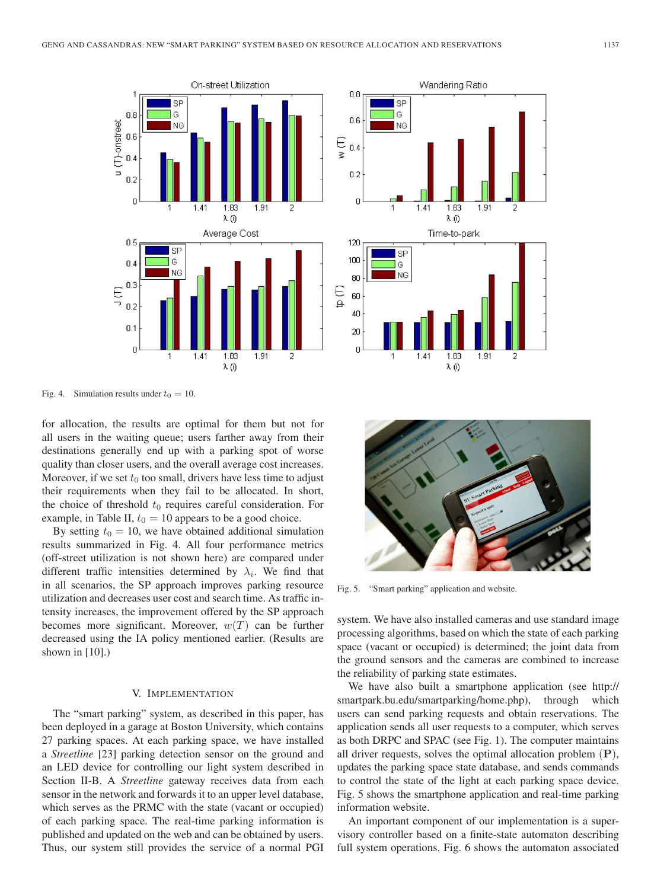



Fig. 4. Simulation results under  $t_0 = 10$ .

for allocation, the results are optimal for them but not for all users in the waiting queue; users farther away from their destinations generally end up with a parking spot of worse quality than closer users, and the overall average cost increases. Moreover, if we set  $t_0$  too small, drivers have less time to adjust their requirements when they fail to be allocated. In short, the choice of threshold  $t_0$  requires careful consideration. For example, in Table II,  $t_0 = 10$  appears to be a good choice.

By setting  $t_0 = 10$ , we have obtained additional simulation results summarized in Fig. 4. All four performance metrics (off-street utilization is not shown here) are compared under different traffic intensities determined by  $\lambda_i$ . We find that in all scenarios, the SP approach improves parking resource utilization and decreases user cost and search time. As traffic intensity increases, the improvement offered by the SP approach becomes more significant. Moreover,  $w(T)$  can be further decreased using the IA policy mentioned earlier. (Results are shown in  $[10]$ .)

# V. IMPLEMENTATION

The "smart parking" system, as described in this paper, has been deployed in a garage at Boston University, which contains 27 parking spaces. At each parking space, we have installed a *Streetline* [23] parking detection sensor on the ground and an LED device for controlling our light system described in Section II-B. A *Streetline* gateway receives data from each sensor in the network and forwards it to an upper level database, which serves as the PRMC with the state (vacant or occupied) of each parking space. The real-time parking information is published and updated on the web and can be obtained by users. Thus, our system still provides the service of a normal PGI



Fig. 5. "Smart parking" application and website.

system. We have also installed cameras and use standard image processing algorithms, based on which the state of each parking space (vacant or occupied) is determined; the joint data from the ground sensors and the cameras are combined to increase the reliability of parking state estimates.

We have also built a smartphone application (see http:// smartpark.bu.edu/smartparking/home.php), through which users can send parking requests and obtain reservations. The application sends all user requests to a computer, which serves as both DRPC and SPAC (see Fig. 1). The computer maintains all driver requests, solves the optimal allocation problem (**P**), updates the parking space state database, and sends commands to control the state of the light at each parking space device. Fig. 5 shows the smartphone application and real-time parking information website.

An important component of our implementation is a supervisory controller based on a finite-state automaton describing full system operations. Fig. 6 shows the automaton associated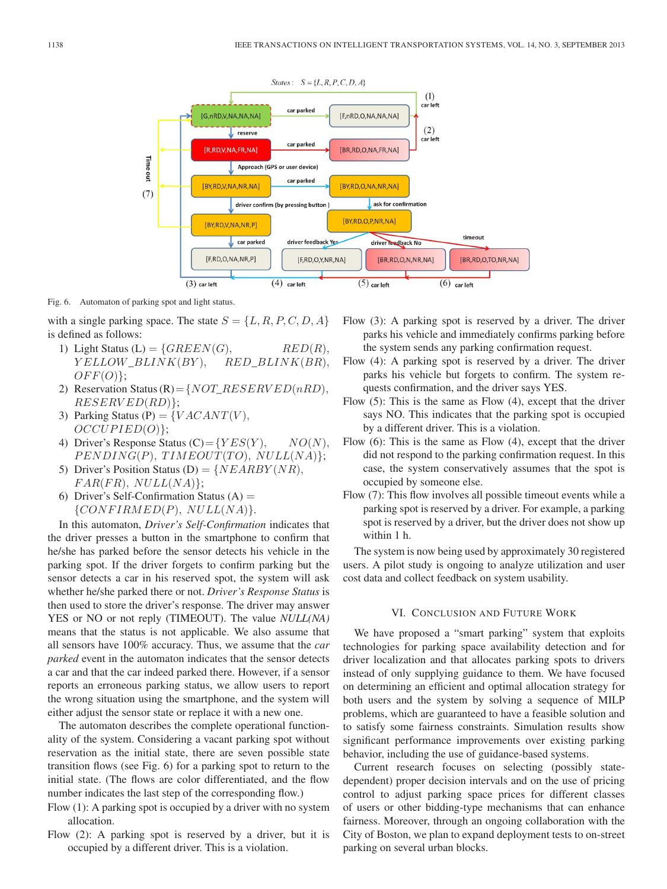

Fig. 6. Automaton of parking spot and light status.

with a single parking space. The state  $S = \{L, R, P, C, D, A\}$ is defined as follows:

- 1) Light Status  $(L) = \{GREEN(G),$   $RED(R),$  $YELLOW\_BLINK(BY),$   $RED\_BLINK(BR),$  $OFF(O)$ ;
- 2) Reservation Status (R) = { $NOT\_RESERVED(nRD)$ ,  $RESERVED(RD)$ ;
- 3) Parking Status (P) = { $VACANT(V)$ ,  $OCCUPIED(O)$ ;
- 4) Driver's Response Status  $(C) = \{YES(Y), NO(N),\}$  $PENDING(P), TIMEOUT(TO), NULL(NA)$ ;
- 5) Driver's Position Status (D) =  $\{NEARBY(NR),\}$  $FAR(FR), NULL(NA)$ ;
- 6) Driver's Self-Confirmation Status  $(A)$  =  $\{CONFIRMED(P), NULL(NA)\}.$

In this automaton, *Driver's Self-Confirmation* indicates that the driver presses a button in the smartphone to confirm that he/she has parked before the sensor detects his vehicle in the parking spot. If the driver forgets to confirm parking but the sensor detects a car in his reserved spot, the system will ask whether he/she parked there or not. *Driver's Response Status* is then used to store the driver's response. The driver may answer YES or NO or not reply (TIMEOUT). The value *NULL(NA)* means that the status is not applicable. We also assume that all sensors have 100% accuracy. Thus, we assume that the *car parked* event in the automaton indicates that the sensor detects a car and that the car indeed parked there. However, if a sensor reports an erroneous parking status, we allow users to report the wrong situation using the smartphone, and the system will either adjust the sensor state or replace it with a new one.

The automaton describes the complete operational functionality of the system. Considering a vacant parking spot without reservation as the initial state, there are seven possible state transition flows (see Fig. 6) for a parking spot to return to the initial state. (The flows are color differentiated, and the flow number indicates the last step of the corresponding flow.)

- Flow (1): A parking spot is occupied by a driver with no system allocation.
- Flow (2): A parking spot is reserved by a driver, but it is occupied by a different driver. This is a violation.
- Flow (3): A parking spot is reserved by a driver. The driver parks his vehicle and immediately confirms parking before the system sends any parking confirmation request.
- Flow (4): A parking spot is reserved by a driver. The driver parks his vehicle but forgets to confirm. The system requests confirmation, and the driver says YES.
- Flow (5): This is the same as Flow (4), except that the driver says NO. This indicates that the parking spot is occupied by a different driver. This is a violation.
- Flow (6): This is the same as Flow (4), except that the driver did not respond to the parking confirmation request. In this case, the system conservatively assumes that the spot is occupied by someone else.
- Flow (7): This flow involves all possible timeout events while a parking spot is reserved by a driver. For example, a parking spot is reserved by a driver, but the driver does not show up within 1 h.

The system is now being used by approximately 30 registered users. A pilot study is ongoing to analyze utilization and user cost data and collect feedback on system usability.

# VI. CONCLUSION AND FUTURE WORK

We have proposed a "smart parking" system that exploits technologies for parking space availability detection and for driver localization and that allocates parking spots to drivers instead of only supplying guidance to them. We have focused on determining an efficient and optimal allocation strategy for both users and the system by solving a sequence of MILP problems, which are guaranteed to have a feasible solution and to satisfy some fairness constraints. Simulation results show significant performance improvements over existing parking behavior, including the use of guidance-based systems.

Current research focuses on selecting (possibly statedependent) proper decision intervals and on the use of pricing control to adjust parking space prices for different classes of users or other bidding-type mechanisms that can enhance fairness. Moreover, through an ongoing collaboration with the City of Boston, we plan to expand deployment tests to on-street parking on several urban blocks.